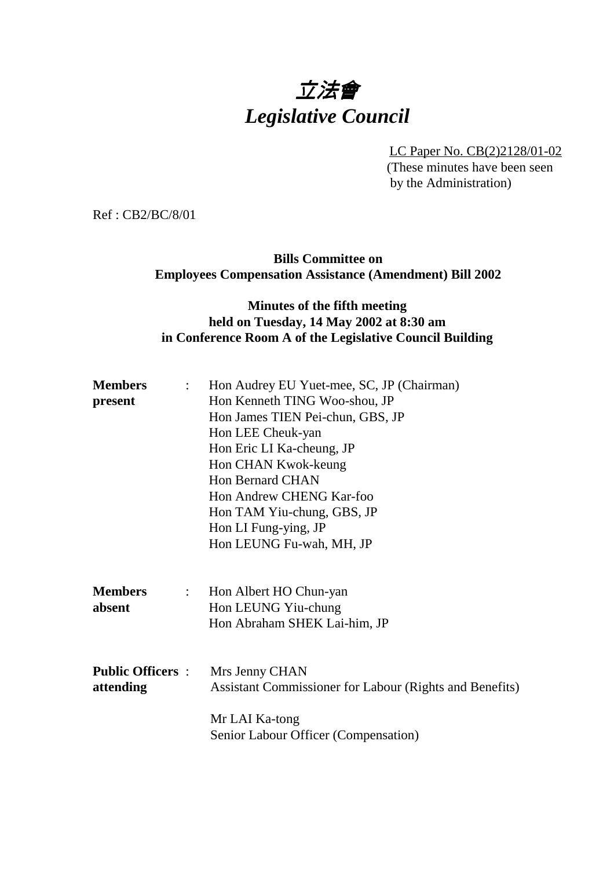# 立法會 *Legislative Council*

LC Paper No. CB(2)2128/01-02

(These minutes have been seen by the Administration)

Ref : CB2/BC/8/01

**Bills Committee on Employees Compensation Assistance (Amendment) Bill 2002**

### **Minutes of the fifth meeting held on Tuesday, 14 May 2002 at 8:30 am in Conference Room A of the Legislative Council Building**

| : Hon Audrey EU Yuet-mee, SC, JP (Chairman)             |
|---------------------------------------------------------|
| Hon Kenneth TING Woo-shou, JP                           |
| Hon James TIEN Pei-chun, GBS, JP                        |
| Hon LEE Cheuk-yan                                       |
| Hon Eric LI Ka-cheung, JP                               |
| Hon CHAN Kwok-keung                                     |
| <b>Hon Bernard CHAN</b>                                 |
| Hon Andrew CHENG Kar-foo                                |
| Hon TAM Yiu-chung, GBS, JP                              |
| Hon LI Fung-ying, JP                                    |
| Hon LEUNG Fu-wah, MH, JP                                |
|                                                         |
| Hon Albert HO Chun-yan<br>$\mathbb{R}^{\mathbb{Z}}$     |
| Hon LEUNG Yiu-chung                                     |
| Hon Abraham SHEK Lai-him, JP                            |
|                                                         |
| <b>Public Officers :</b><br>Mrs Jenny CHAN              |
| Assistant Commissioner for Labour (Rights and Benefits) |
|                                                         |
| Mr LAI Ka-tong                                          |
|                                                         |
|                                                         |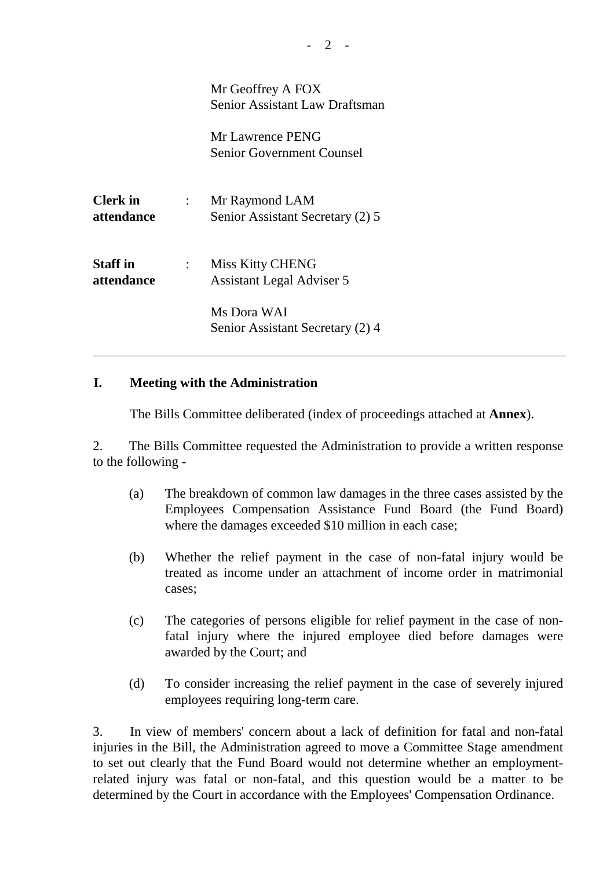Mr Geoffrey A FOX Senior Assistant Law Draftsman

Mr Lawrence PENG Senior Government Counsel

**Clerk in** : Mr Raymond LAM **attendance** Senior Assistant Secretary (2) 5

**Staff in** : Miss Kitty CHENG **attendance** Assistant Legal Adviser 5

> Ms Dora WAI Senior Assistant Secretary (2) 4

#### **I. Meeting with the Administration**

 $\overline{a}$ 

The Bills Committee deliberated (index of proceedings attached at **Annex**).

2. The Bills Committee requested the Administration to provide a written response to the following -

- (a) The breakdown of common law damages in the three cases assisted by the Employees Compensation Assistance Fund Board (the Fund Board) where the damages exceeded \$10 million in each case;
- (b) Whether the relief payment in the case of non-fatal injury would be treated as income under an attachment of income order in matrimonial cases;
- (c) The categories of persons eligible for relief payment in the case of nonfatal injury where the injured employee died before damages were awarded by the Court; and
- (d) To consider increasing the relief payment in the case of severely injured employees requiring long-term care.

3. In view of members' concern about a lack of definition for fatal and non-fatal injuries in the Bill, the Administration agreed to move a Committee Stage amendment to set out clearly that the Fund Board would not determine whether an employmentrelated injury was fatal or non-fatal, and this question would be a matter to be determined by the Court in accordance with the Employees' Compensation Ordinance.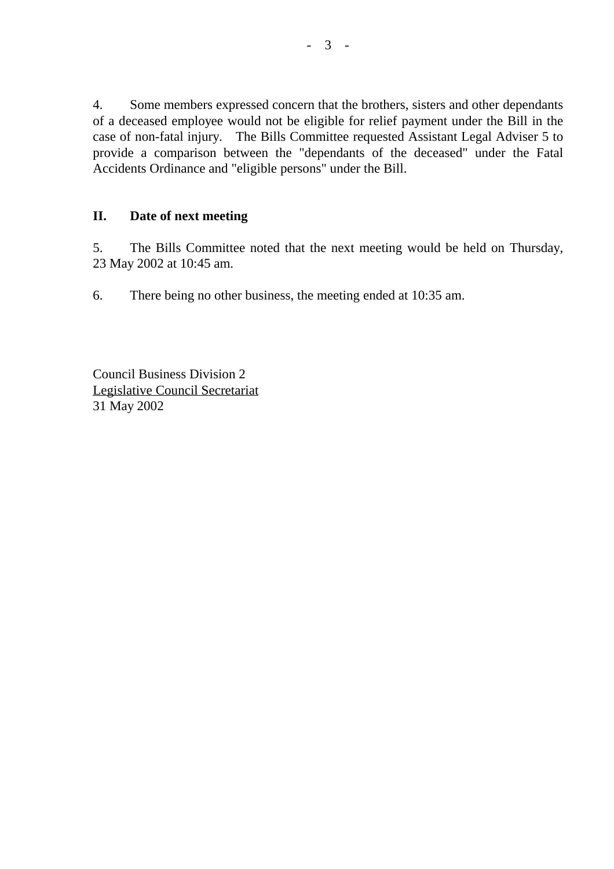4. Some members expressed concern that the brothers, sisters and other dependants of a deceased employee would not be eligible for relief payment under the Bill in the case of non-fatal injury. The Bills Committee requested Assistant Legal Adviser 5 to provide a comparison between the "dependants of the deceased" under the Fatal Accidents Ordinance and "eligible persons" under the Bill.

### **II. Date of next meeting**

5. The Bills Committee noted that the next meeting would be held on Thursday, 23 May 2002 at 10:45 am.

6. There being no other business, the meeting ended at 10:35 am.

Council Business Division 2 Legislative Council Secretariat 31 May 2002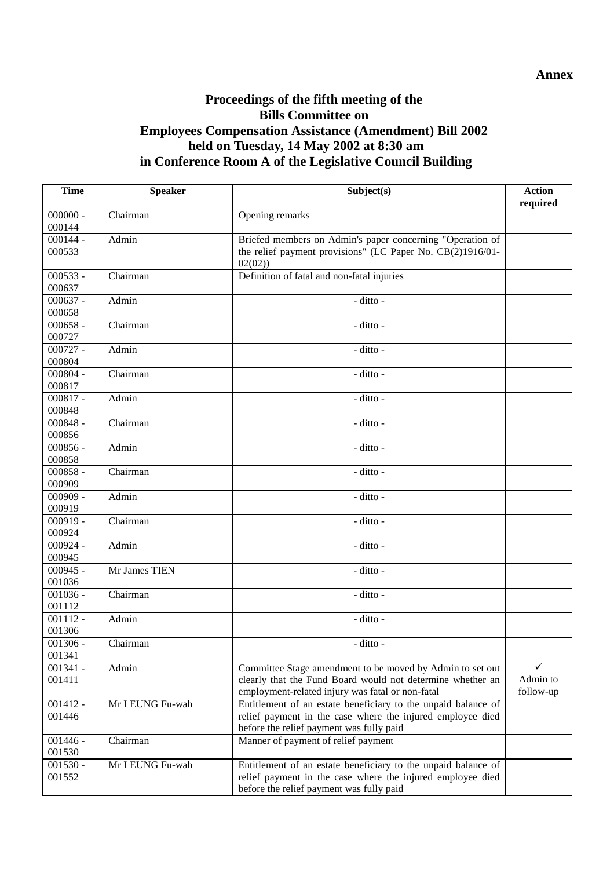### **Proceedings of the fifth meeting of the Bills Committee on Employees Compensation Assistance (Amendment) Bill 2002 held on Tuesday, 14 May 2002 at 8:30 am in Conference Room A of the Legislative Council Building**

| <b>Time</b>          | <b>Speaker</b>  | Subject(s)                                                                                                                                                                  | <b>Action</b><br>required |
|----------------------|-----------------|-----------------------------------------------------------------------------------------------------------------------------------------------------------------------------|---------------------------|
| $000000 -$<br>000144 | Chairman        | Opening remarks                                                                                                                                                             |                           |
| $000144 -$<br>000533 | Admin           | Briefed members on Admin's paper concerning "Operation of<br>the relief payment provisions" (LC Paper No. CB(2)1916/01-<br>02(02)                                           |                           |
| $000533 -$<br>000637 | Chairman        | Definition of fatal and non-fatal injuries                                                                                                                                  |                           |
| $000637 -$<br>000658 | Admin           | $-$ ditto $-$                                                                                                                                                               |                           |
| $000658 -$<br>000727 | Chairman        | - ditto -                                                                                                                                                                   |                           |
| $000727 -$<br>000804 | Admin           | - ditto -                                                                                                                                                                   |                           |
| $000804 -$<br>000817 | Chairman        | - ditto -                                                                                                                                                                   |                           |
| $000817 -$<br>000848 | Admin           | - ditto -                                                                                                                                                                   |                           |
| $000848 -$<br>000856 | Chairman        | - ditto -                                                                                                                                                                   |                           |
| $000856 -$<br>000858 | Admin           | - ditto -                                                                                                                                                                   |                           |
| $000858 -$<br>000909 | Chairman        | - ditto -                                                                                                                                                                   |                           |
| $000909 -$<br>000919 | Admin           | - ditto -                                                                                                                                                                   |                           |
| $000919 -$<br>000924 | Chairman        | - ditto -                                                                                                                                                                   |                           |
| $000924 -$<br>000945 | Admin           | $-$ ditto -                                                                                                                                                                 |                           |
| $000945 -$<br>001036 | Mr James TIEN   | - ditto -                                                                                                                                                                   |                           |
| $001036 -$<br>001112 | Chairman        | - ditto -                                                                                                                                                                   |                           |
| $001112 -$<br>001306 | Admin           | - ditto -                                                                                                                                                                   |                           |
| $001306 -$<br>001341 | Chairman        | - ditto -                                                                                                                                                                   |                           |
| $001341 -$<br>001411 | Admin           | Committee Stage amendment to be moved by Admin to set out<br>clearly that the Fund Board would not determine whether an<br>employment-related injury was fatal or non-fatal | Admin to<br>follow-up     |
| $001412 -$<br>001446 | Mr LEUNG Fu-wah | Entitlement of an estate beneficiary to the unpaid balance of<br>relief payment in the case where the injured employee died<br>before the relief payment was fully paid     |                           |
| $001446 -$<br>001530 | Chairman        | Manner of payment of relief payment                                                                                                                                         |                           |
| $001530 -$<br>001552 | Mr LEUNG Fu-wah | Entitlement of an estate beneficiary to the unpaid balance of<br>relief payment in the case where the injured employee died<br>before the relief payment was fully paid     |                           |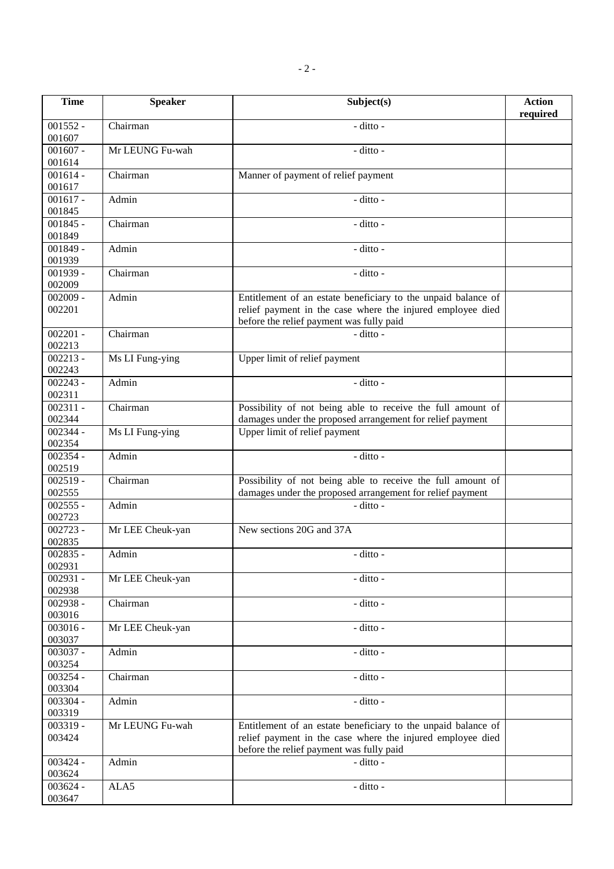| <b>Time</b>                     | <b>Speaker</b>   | Subject(s)                                                                                                                                                              | <b>Action</b><br>required |
|---------------------------------|------------------|-------------------------------------------------------------------------------------------------------------------------------------------------------------------------|---------------------------|
| $001552 -$<br>001607            | Chairman         | - ditto -                                                                                                                                                               |                           |
| $001607 -$<br>001614            | Mr LEUNG Fu-wah  | - ditto -                                                                                                                                                               |                           |
| $001614 -$<br>001617            | Chairman         | Manner of payment of relief payment                                                                                                                                     |                           |
| $001617 -$<br>001845            | Admin            | - ditto -                                                                                                                                                               |                           |
| $001845 -$<br>001849            | Chairman         | - ditto -                                                                                                                                                               |                           |
| $001849 -$<br>001939            | Admin            | - ditto -                                                                                                                                                               |                           |
| $001939 -$<br>002009            | Chairman         | - ditto -                                                                                                                                                               |                           |
| $002009 -$<br>002201            | Admin            | Entitlement of an estate beneficiary to the unpaid balance of<br>relief payment in the case where the injured employee died<br>before the relief payment was fully paid |                           |
| $002201 -$<br>002213            | Chairman         | - ditto -                                                                                                                                                               |                           |
| $002213 -$<br>002243            | Ms LI Fung-ying  | Upper limit of relief payment                                                                                                                                           |                           |
| $\overline{002243}$ -<br>002311 | Admin            | - ditto -                                                                                                                                                               |                           |
| $002311 -$<br>002344            | Chairman         | Possibility of not being able to receive the full amount of<br>damages under the proposed arrangement for relief payment                                                |                           |
| $002344 -$<br>002354            | Ms LI Fung-ying  | Upper limit of relief payment                                                                                                                                           |                           |
| $002354 -$<br>002519            | Admin            | - ditto -                                                                                                                                                               |                           |
| $002519 -$<br>002555            | Chairman         | Possibility of not being able to receive the full amount of<br>damages under the proposed arrangement for relief payment                                                |                           |
| $002555 -$<br>002723            | Admin            | - ditto -                                                                                                                                                               |                           |
| $002723 -$<br>002835            | Mr LEE Cheuk-yan | New sections 20G and 37A                                                                                                                                                |                           |
| $002835 -$<br>002931            | Admin            | - ditto -                                                                                                                                                               |                           |
| $002931 -$<br>002938            | Mr LEE Cheuk-yan | - ditto -                                                                                                                                                               |                           |
| $002938 -$<br>003016            | Chairman         | - ditto -                                                                                                                                                               |                           |
| $003016 -$<br>003037            | Mr LEE Cheuk-yan | - ditto -                                                                                                                                                               |                           |
| $003037 -$<br>003254            | Admin            | - ditto -                                                                                                                                                               |                           |
| $003254 -$<br>003304            | Chairman         | - ditto -                                                                                                                                                               |                           |
| 003304 -<br>003319              | Admin            | - ditto -                                                                                                                                                               |                           |
| $003319 -$<br>003424            | Mr LEUNG Fu-wah  | Entitlement of an estate beneficiary to the unpaid balance of<br>relief payment in the case where the injured employee died<br>before the relief payment was fully paid |                           |
| 003424 -<br>003624              | Admin            | - ditto -                                                                                                                                                               |                           |
| $003624 -$<br>003647            | ALA5             | - ditto -                                                                                                                                                               |                           |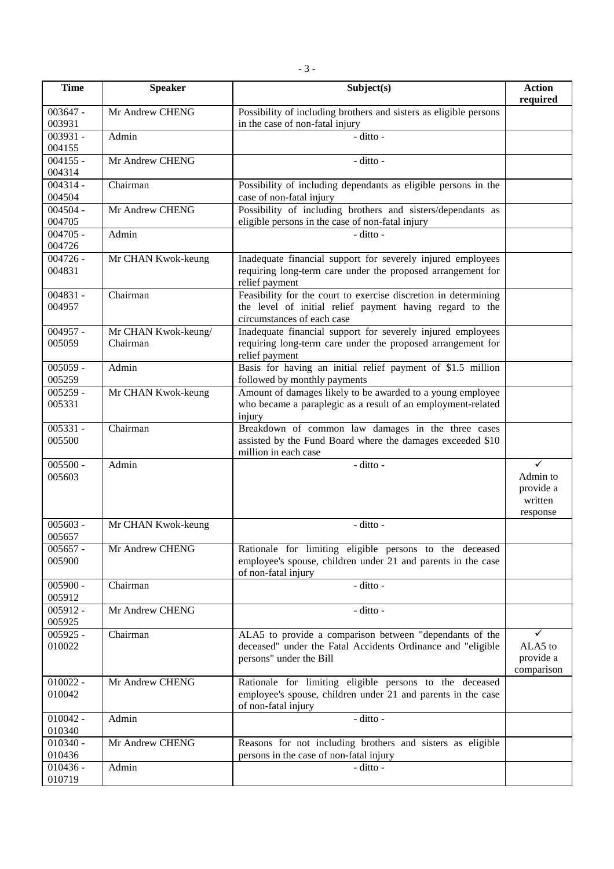| <b>Time</b>          | <b>Speaker</b>                  | Subject(s)                                                                                                                                                | <b>Action</b><br>required                         |
|----------------------|---------------------------------|-----------------------------------------------------------------------------------------------------------------------------------------------------------|---------------------------------------------------|
| $003647 -$           | Mr Andrew CHENG                 | Possibility of including brothers and sisters as eligible persons                                                                                         |                                                   |
| 003931<br>$003931 -$ | Admin                           | in the case of non-fatal injury<br>- ditto -                                                                                                              |                                                   |
| 004155               |                                 |                                                                                                                                                           |                                                   |
| $004155 -$<br>004314 | Mr Andrew CHENG                 | - ditto -                                                                                                                                                 |                                                   |
| $004314 -$<br>004504 | Chairman                        | Possibility of including dependants as eligible persons in the<br>case of non-fatal injury                                                                |                                                   |
| $004504 -$<br>004705 | Mr Andrew CHENG                 | Possibility of including brothers and sisters/dependants as<br>eligible persons in the case of non-fatal injury                                           |                                                   |
| $004705 -$<br>004726 | Admin                           | - ditto -                                                                                                                                                 |                                                   |
| $004726 -$<br>004831 | Mr CHAN Kwok-keung              | Inadequate financial support for severely injured employees<br>requiring long-term care under the proposed arrangement for<br>relief payment              |                                                   |
| $004831 -$<br>004957 | Chairman                        | Feasibility for the court to exercise discretion in determining<br>the level of initial relief payment having regard to the<br>circumstances of each case |                                                   |
| $004957 -$<br>005059 | Mr CHAN Kwok-keung/<br>Chairman | Inadequate financial support for severely injured employees<br>requiring long-term care under the proposed arrangement for<br>relief payment              |                                                   |
| $005059 -$<br>005259 | Admin                           | Basis for having an initial relief payment of \$1.5 million<br>followed by monthly payments                                                               |                                                   |
| $005259 -$<br>005331 | Mr CHAN Kwok-keung              | Amount of damages likely to be awarded to a young employee<br>who became a paraplegic as a result of an employment-related<br>injury                      |                                                   |
| $005331 -$<br>005500 | Chairman                        | Breakdown of common law damages in the three cases<br>assisted by the Fund Board where the damages exceeded \$10<br>million in each case                  |                                                   |
| $005500 -$<br>005603 | Admin                           | - ditto -                                                                                                                                                 | ✓<br>Admin to<br>provide a<br>written<br>response |
| $005603 -$<br>005657 | Mr CHAN Kwok-keung              | - ditto -                                                                                                                                                 |                                                   |
| $005657 -$<br>005900 | Mr Andrew CHENG                 | Rationale for limiting eligible persons to the deceased<br>employee's spouse, children under 21 and parents in the case<br>of non-fatal injury            |                                                   |
| $005900 -$<br>005912 | Chairman                        | - ditto -                                                                                                                                                 |                                                   |
| $005912 -$<br>005925 | Mr Andrew CHENG                 | - ditto -                                                                                                                                                 |                                                   |
| $005925 -$<br>010022 | Chairman                        | ALA5 to provide a comparison between "dependants of the<br>deceased" under the Fatal Accidents Ordinance and "eligible<br>persons" under the Bill         | ✓<br>ALA5 to<br>provide a<br>comparison           |
| $010022 -$<br>010042 | Mr Andrew CHENG                 | Rationale for limiting eligible persons to the deceased<br>employee's spouse, children under 21 and parents in the case<br>of non-fatal injury            |                                                   |
| $010042 -$<br>010340 | Admin                           | - ditto -                                                                                                                                                 |                                                   |
| $010340 -$<br>010436 | Mr Andrew CHENG                 | Reasons for not including brothers and sisters as eligible<br>persons in the case of non-fatal injury                                                     |                                                   |
| $010436 -$<br>010719 | Admin                           | $-$ ditto $-$                                                                                                                                             |                                                   |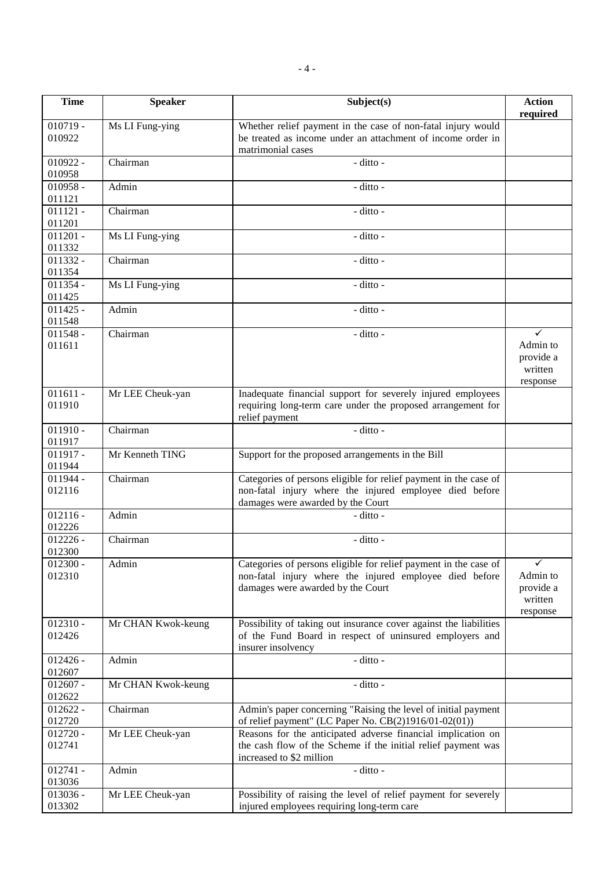| <b>Time</b>          | <b>Speaker</b>     | Subject(s)                                                                                                                   | <b>Action</b>            |
|----------------------|--------------------|------------------------------------------------------------------------------------------------------------------------------|--------------------------|
|                      |                    |                                                                                                                              | required                 |
| $010719 -$<br>010922 | Ms LI Fung-ying    | Whether relief payment in the case of non-fatal injury would<br>be treated as income under an attachment of income order in  |                          |
|                      |                    | matrimonial cases                                                                                                            |                          |
| $010922 -$           | Chairman           | - ditto -                                                                                                                    |                          |
| 010958               |                    |                                                                                                                              |                          |
| $010958 -$<br>011121 | Admin              | - ditto -                                                                                                                    |                          |
| $011121 -$           | Chairman           | - ditto -                                                                                                                    |                          |
| 011201               |                    |                                                                                                                              |                          |
| $011201 -$           | Ms LI Fung-ying    | - ditto -                                                                                                                    |                          |
| 011332<br>$011332 -$ | Chairman           | - ditto -                                                                                                                    |                          |
| 011354               |                    |                                                                                                                              |                          |
| $011354 -$           | Ms LI Fung-ying    | - ditto -                                                                                                                    |                          |
| 011425               |                    |                                                                                                                              |                          |
| $011425 -$<br>011548 | Admin              | $-$ ditto $-$                                                                                                                |                          |
| $011548 -$           | Chairman           | - ditto -                                                                                                                    | $\checkmark$             |
| 011611               |                    |                                                                                                                              | Admin to                 |
|                      |                    |                                                                                                                              | provide a                |
|                      |                    |                                                                                                                              | written                  |
| $011611 -$           | Mr LEE Cheuk-yan   | Inadequate financial support for severely injured employees                                                                  | response                 |
| 011910               |                    | requiring long-term care under the proposed arrangement for                                                                  |                          |
|                      |                    | relief payment                                                                                                               |                          |
| $011910 -$           | Chairman           | - ditto -                                                                                                                    |                          |
| 011917<br>$011917 -$ | Mr Kenneth TING    | Support for the proposed arrangements in the Bill                                                                            |                          |
| 011944               |                    |                                                                                                                              |                          |
| $011944 -$           | Chairman           | Categories of persons eligible for relief payment in the case of                                                             |                          |
| 012116               |                    | non-fatal injury where the injured employee died before                                                                      |                          |
| $012116 -$           | Admin              | damages were awarded by the Court<br>- ditto -                                                                               |                          |
| 012226               |                    |                                                                                                                              |                          |
| $012226 -$           | Chairman           | - ditto -                                                                                                                    |                          |
| 012300               |                    |                                                                                                                              |                          |
| $012300 -$           | Admin              | Categories of persons eligible for relief payment in the case of                                                             | $\checkmark$<br>Admin to |
| 012310               |                    | non-fatal injury where the injured employee died before<br>damages were awarded by the Court                                 | provide a                |
|                      |                    |                                                                                                                              | written                  |
|                      |                    |                                                                                                                              | response                 |
| $012310 -$<br>012426 | Mr CHAN Kwok-keung | Possibility of taking out insurance cover against the liabilities<br>of the Fund Board in respect of uninsured employers and |                          |
|                      |                    | insurer insolvency                                                                                                           |                          |
| $012426 -$           | Admin              | - ditto -                                                                                                                    |                          |
| 012607               |                    |                                                                                                                              |                          |
| $012607 -$           | Mr CHAN Kwok-keung | - ditto -                                                                                                                    |                          |
| 012622<br>$012622 -$ | Chairman           | Admin's paper concerning "Raising the level of initial payment                                                               |                          |
| 012720               |                    | of relief payment" (LC Paper No. CB(2)1916/01-02(01))                                                                        |                          |
| $012720 -$           | Mr LEE Cheuk-yan   | Reasons for the anticipated adverse financial implication on                                                                 |                          |
| 012741               |                    | the cash flow of the Scheme if the initial relief payment was                                                                |                          |
| $012741 -$           | Admin              | increased to \$2 million<br>- ditto -                                                                                        |                          |
| 013036               |                    |                                                                                                                              |                          |
| 013036 -             | Mr LEE Cheuk-yan   | Possibility of raising the level of relief payment for severely                                                              |                          |
| 013302               |                    | injured employees requiring long-term care                                                                                   |                          |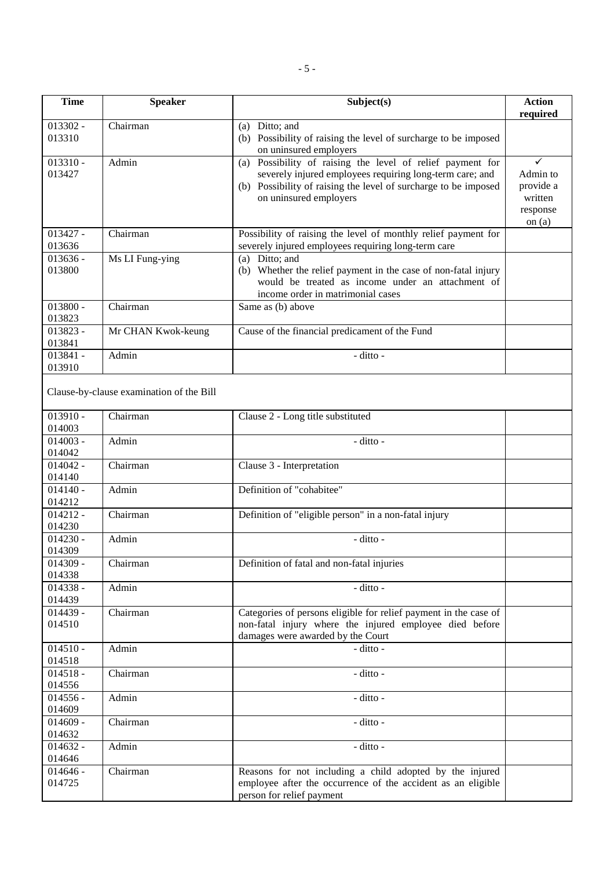| <b>Time</b>          | <b>Speaker</b>                           | Subject(s)                                                                                                                                                                                                             | <b>Action</b><br>required                                     |
|----------------------|------------------------------------------|------------------------------------------------------------------------------------------------------------------------------------------------------------------------------------------------------------------------|---------------------------------------------------------------|
| $013302 -$<br>013310 | Chairman                                 | (a) Ditto; and<br>(b) Possibility of raising the level of surcharge to be imposed<br>on uninsured employers                                                                                                            |                                                               |
| $013310 -$<br>013427 | Admin                                    | Possibility of raising the level of relief payment for<br>(a)<br>severely injured employees requiring long-term care; and<br>(b) Possibility of raising the level of surcharge to be imposed<br>on uninsured employers | ✓<br>Admin to<br>provide a<br>written<br>response<br>on $(a)$ |
| $013427 -$<br>013636 | Chairman                                 | Possibility of raising the level of monthly relief payment for<br>severely injured employees requiring long-term care                                                                                                  |                                                               |
| $013636 -$<br>013800 | Ms LI Fung-ying                          | (a) Ditto; and<br>(b) Whether the relief payment in the case of non-fatal injury<br>would be treated as income under an attachment of<br>income order in matrimonial cases                                             |                                                               |
| $013800 -$<br>013823 | Chairman                                 | Same as (b) above                                                                                                                                                                                                      |                                                               |
| $013823 -$<br>013841 | Mr CHAN Kwok-keung                       | Cause of the financial predicament of the Fund                                                                                                                                                                         |                                                               |
| $013841 -$<br>013910 | Admin                                    | - ditto -                                                                                                                                                                                                              |                                                               |
|                      | Clause-by-clause examination of the Bill |                                                                                                                                                                                                                        |                                                               |
| $013910 -$<br>014003 | Chairman                                 | Clause 2 - Long title substituted                                                                                                                                                                                      |                                                               |
| $014003 -$<br>014042 | Admin                                    | - ditto -                                                                                                                                                                                                              |                                                               |
| $014042 -$<br>014140 | Chairman                                 | Clause 3 - Interpretation                                                                                                                                                                                              |                                                               |
| $014140 -$<br>014212 | Admin                                    | Definition of "cohabitee"                                                                                                                                                                                              |                                                               |
| $014212 -$<br>014230 | Chairman                                 | Definition of "eligible person" in a non-fatal injury                                                                                                                                                                  |                                                               |
| $014230 -$<br>014309 | Admin                                    | - ditto -                                                                                                                                                                                                              |                                                               |
| $014309 -$<br>014338 | Chairman                                 | Definition of fatal and non-fatal injuries                                                                                                                                                                             |                                                               |
| $014338 -$<br>014439 | Admin                                    | - ditto -                                                                                                                                                                                                              |                                                               |
| $014439 -$<br>014510 | Chairman                                 | Categories of persons eligible for relief payment in the case of<br>non-fatal injury where the injured employee died before<br>damages were awarded by the Court                                                       |                                                               |
| $014510 -$<br>014518 | Admin                                    | - ditto -                                                                                                                                                                                                              |                                                               |
| $014518 -$<br>014556 | Chairman                                 | - ditto -                                                                                                                                                                                                              |                                                               |
| $014556 -$<br>014609 | Admin                                    | - ditto -                                                                                                                                                                                                              |                                                               |
| $014609 -$<br>014632 | Chairman                                 | - ditto -                                                                                                                                                                                                              |                                                               |
| $014632 -$<br>014646 | Admin                                    | - ditto -                                                                                                                                                                                                              |                                                               |
| $014646 -$<br>014725 | Chairman                                 | Reasons for not including a child adopted by the injured<br>employee after the occurrence of the accident as an eligible<br>person for relief payment                                                                  |                                                               |